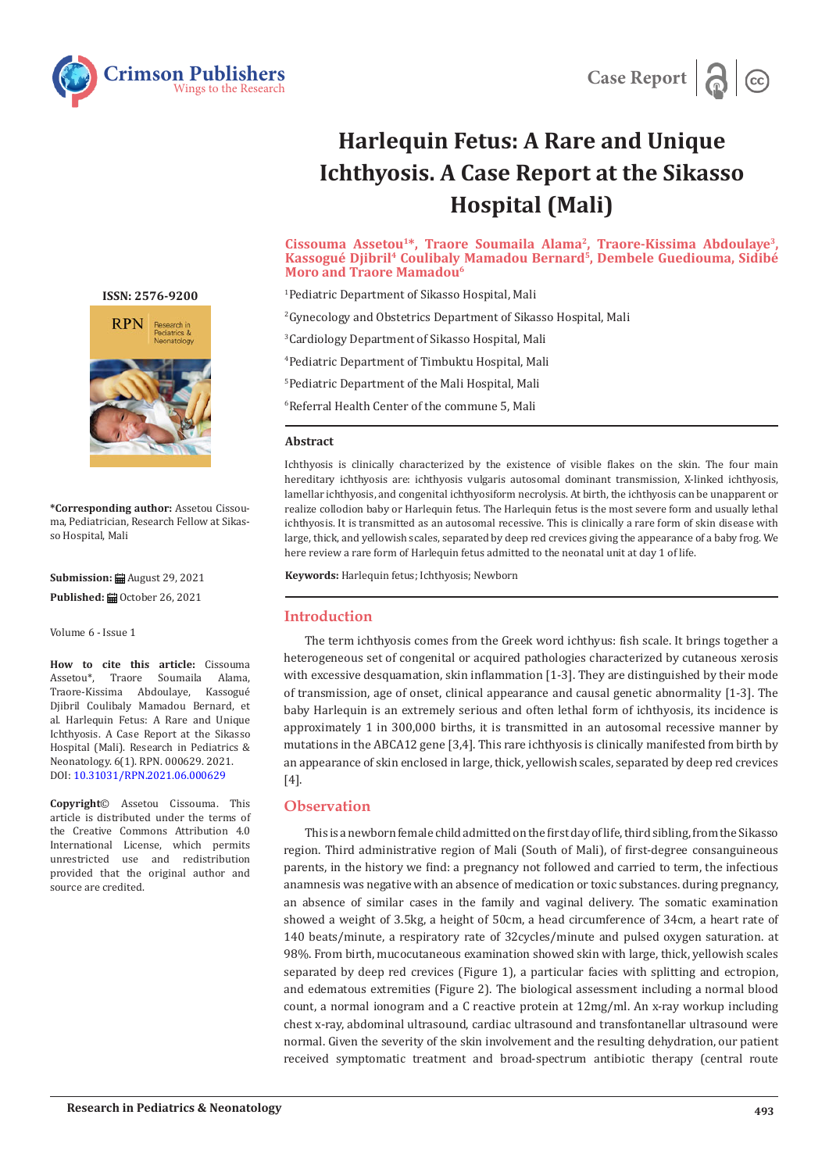



# **Harlequin Fetus: A Rare and Unique Ichthyosis. A Case Report at the Sikasso Hospital (Mali)**

#### **Cissouma Assetou1\*, Traore Soumaila Alama2, Traore-Kissima Abdoulaye3, Kassogué Djibril4 Coulibaly Mamadou Bernard5, Dembele Guediouma, Sidibé Moro and Traore Mamadou6**

 Pediatric Department of Sikasso Hospital, Mali Gynecology and Obstetrics Department of Sikasso Hospital, Mali Cardiology Department of Sikasso Hospital, Mali Pediatric Department of Timbuktu Hospital, Mali Pediatric Department of the Mali Hospital, Mali Referral Health Center of the commune 5, Mali

#### **Abstract**

Ichthyosis is clinically characterized by the existence of visible flakes on the skin. The four main hereditary ichthyosis are: ichthyosis vulgaris autosomal dominant transmission, X-linked ichthyosis, lamellar ichthyosis, and congenital ichthyosiform necrolysis. At birth, the ichthyosis can be unapparent or realize collodion baby or Harlequin fetus. The Harlequin fetus is the most severe form and usually lethal ichthyosis. It is transmitted as an autosomal recessive. This is clinically a rare form of skin disease with large, thick, and yellowish scales, separated by deep red crevices giving the appearance of a baby frog. We here review a rare form of Harlequin fetus admitted to the neonatal unit at day 1 of life.

**Keywords:** Harlequin fetus; Ichthyosis; Newborn

### **Introduction**

The term ichthyosis comes from the Greek word ichthyus: fish scale. It brings together a heterogeneous set of congenital or acquired pathologies characterized by cutaneous xerosis with excessive desquamation, skin inflammation [1-3]. They are distinguished by their mode of transmission, age of onset, clinical appearance and causal genetic abnormality [1-3]. The baby Harlequin is an extremely serious and often lethal form of ichthyosis, its incidence is approximately 1 in 300,000 births, it is transmitted in an autosomal recessive manner by mutations in the ABCA12 gene [3,4]. This rare ichthyosis is clinically manifested from birth by an appearance of skin enclosed in large, thick, yellowish scales, separated by deep red crevices [4].

# **Observation**

This is a newborn female child admitted on the first day of life, third sibling, from the Sikasso region. Third administrative region of Mali (South of Mali), of first-degree consanguineous parents, in the history we find: a pregnancy not followed and carried to term, the infectious anamnesis was negative with an absence of medication or toxic substances. during pregnancy, an absence of similar cases in the family and vaginal delivery. The somatic examination showed a weight of 3.5kg, a height of 50cm, a head circumference of 34cm, a heart rate of 140 beats/minute, a respiratory rate of 32cycles/minute and pulsed oxygen saturation. at 98%. From birth, mucocutaneous examination showed skin with large, thick, yellowish scales separated by deep red crevices (Figure 1), a particular facies with splitting and ectropion, and edematous extremities (Figure 2). The biological assessment including a normal blood count, a normal ionogram and a C reactive protein at 12mg/ml. An x-ray workup including chest x-ray, abdominal ultrasound, cardiac ultrasound and transfontanellar ultrasound were normal. Given the severity of the skin involvement and the resulting dehydration, our patient received symptomatic treatment and broad-spectrum antibiotic therapy (central route

**ISSN: 2576-9200**



**\*Corresponding author:** Assetou Cissouma, Pediatrician, Research Fellow at Sikasso Hospital, Mali

**Submission: 自 August 29, 2021** 

Published: *a* October 26, 2021

Volume 6 - Issue 1

**How to cite this article:** Cissouma Assetou\*, Traore Soumaila Alama, Assetou\*, Traore Soumaila Alama, Traore-Kissima Abdoulaye, Kassogué Djibril Coulibaly Mamadou Bernard, et al. Harlequin Fetus: A Rare and Unique Ichthyosis. A Case Report at the Sikasso Hospital (Mali). Research in Pediatrics & Neonatology. 6(1). RPN. 000629. 2021. DOI: [10.31031/RPN.2021.06.00062](http://dx.doi.org/10.31031/RPN.2021.06.000629)9

**Copyright**© Assetou Cissouma. This article is distributed under the terms of the Creative Commons Attribution 4.0 International License, which permits unrestricted use and redistribution provided that the original author and source are credited.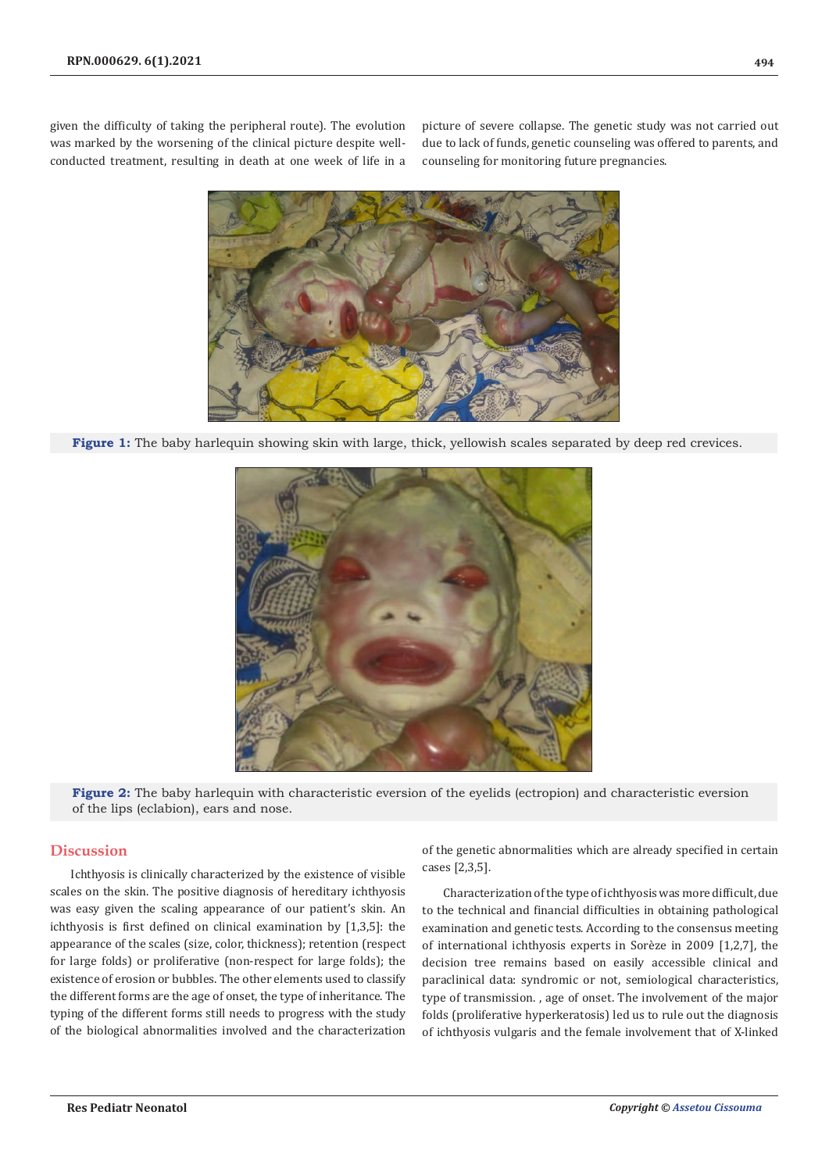given the difficulty of taking the peripheral route). The evolution was marked by the worsening of the clinical picture despite wellconducted treatment, resulting in death at one week of life in a picture of severe collapse. The genetic study was not carried out due to lack of funds, genetic counseling was offered to parents, and counseling for monitoring future pregnancies.



**Figure 1:** The baby harlequin showing skin with large, thick, yellowish scales separated by deep red crevices.



**Figure 2:** The baby harlequin with characteristic eversion of the eyelids (ectropion) and characteristic eversion of the lips (eclabion), ears and nose.

# **Discussion**

Ichthyosis is clinically characterized by the existence of visible scales on the skin. The positive diagnosis of hereditary ichthyosis was easy given the scaling appearance of our patient's skin. An ichthyosis is first defined on clinical examination by [1,3,5]: the appearance of the scales (size, color, thickness); retention (respect for large folds) or proliferative (non-respect for large folds); the existence of erosion or bubbles. The other elements used to classify the different forms are the age of onset, the type of inheritance. The typing of the different forms still needs to progress with the study of the biological abnormalities involved and the characterization

of the genetic abnormalities which are already specified in certain cases [2,3,5].

Characterization of the type of ichthyosis was more difficult, due to the technical and financial difficulties in obtaining pathological examination and genetic tests. According to the consensus meeting of international ichthyosis experts in Sorèze in 2009 [1,2,7], the decision tree remains based on easily accessible clinical and paraclinical data: syndromic or not, semiological characteristics, type of transmission. , age of onset. The involvement of the major folds (proliferative hyperkeratosis) led us to rule out the diagnosis of ichthyosis vulgaris and the female involvement that of X-linked